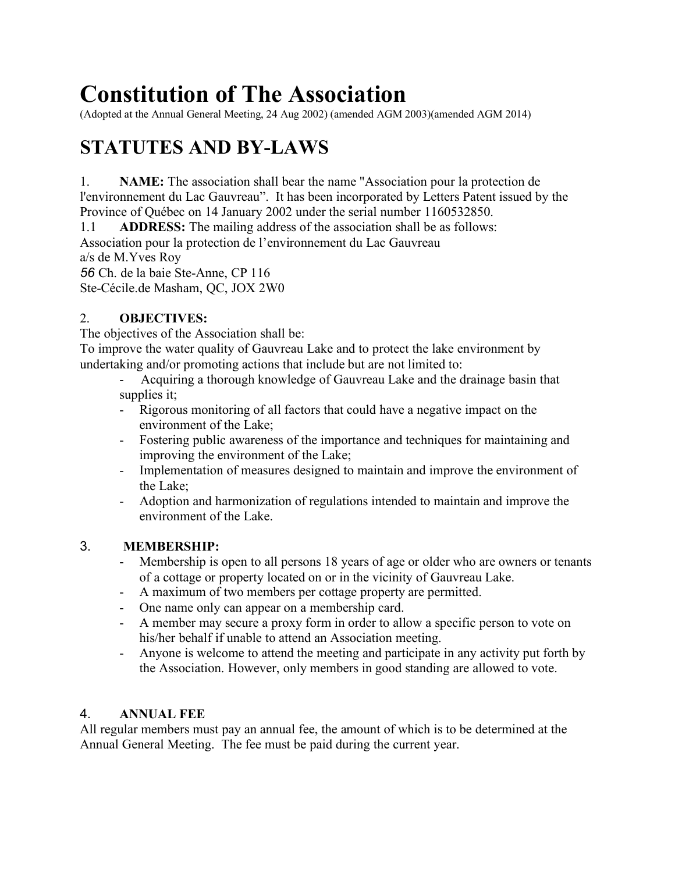# **Constitution of The Association**

(Adopted at the Annual General Meeting, 24 Aug 2002) (amended AGM 2003)(amended AGM 2014)

# **STATUTES AND BY-LAWS**

1. **NAME:** The association shall bear the name "Association pour la protection de l'environnement du Lac Gauvreau". It has been incorporated by Letters Patent issued by the Province of Québec on 14 January 2002 under the serial number 1160532850.

1.1 **ADDRESS:** The mailing address of the association shall be as follows: Association pour la protection de l'environnement du Lac Gauvreau a/s de M.Yves Roy

*56* Ch. de la baie Ste-Anne, CP 116

Ste-Cécile.de Masham, QC, JOX 2W0

# 2. **OBJECTIVES:**

The objectives of the Association shall be:

To improve the water quality of Gauvreau Lake and to protect the lake environment by undertaking and/or promoting actions that include but are not limited to:

- Acquiring a thorough knowledge of Gauvreau Lake and the drainage basin that supplies it;

- Rigorous monitoring of all factors that could have a negative impact on the environment of the Lake;
- Fostering public awareness of the importance and techniques for maintaining and improving the environment of the Lake;
- Implementation of measures designed to maintain and improve the environment of the Lake;
- Adoption and harmonization of regulations intended to maintain and improve the environment of the Lake.

# 3. **MEMBERSHIP:**

- Membership is open to all persons 18 years of age or older who are owners or tenants of a cottage or property located on or in the vicinity of Gauvreau Lake.
- A maximum of two members per cottage property are permitted.
- One name only can appear on a membership card.
- A member may secure a proxy form in order to allow a specific person to vote on his/her behalf if unable to attend an Association meeting.
- Anyone is welcome to attend the meeting and participate in any activity put forth by the Association. However, only members in good standing are allowed to vote.

# 4. **ANNUAL FEE**

All regular members must pay an annual fee, the amount of which is to be determined at the Annual General Meeting. The fee must be paid during the current year.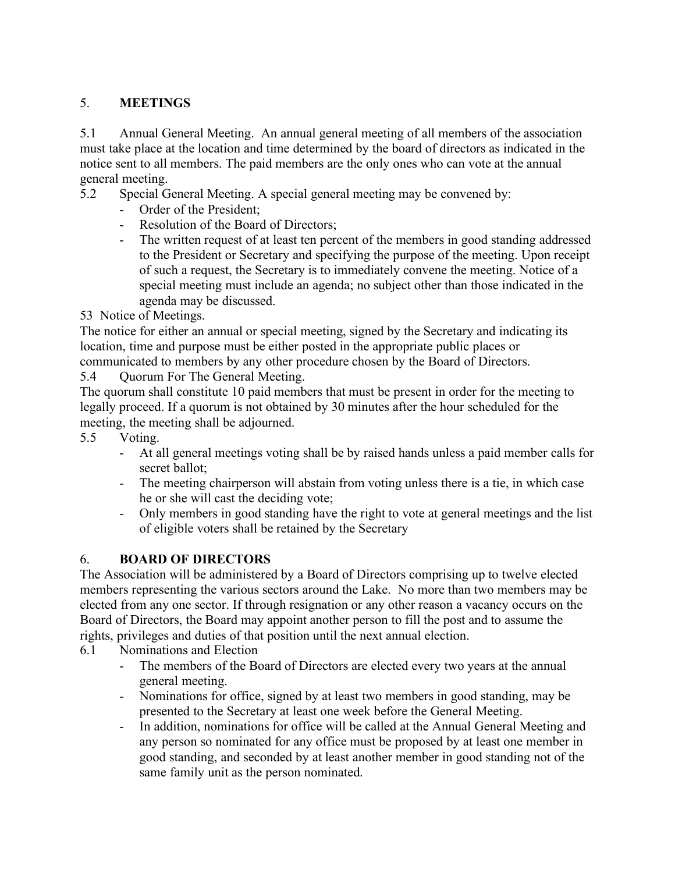# 5. **MEETINGS**

5.1 Annual General Meeting. An annual general meeting of all members of the association must take place at the location and time determined by the board of directors as indicated in the notice sent to all members. The paid members are the only ones who can vote at the annual general meeting.

5.2 Special General Meeting. A special general meeting may be convened by:

- Order of the President;
- Resolution of the Board of Directors;
- The written request of at least ten percent of the members in good standing addressed to the President or Secretary and specifying the purpose of the meeting. Upon receipt of such a request, the Secretary is to immediately convene the meeting. Notice of a special meeting must include an agenda; no subject other than those indicated in the agenda may be discussed.

53 Notice of Meetings.

The notice for either an annual or special meeting, signed by the Secretary and indicating its location, time and purpose must be either posted in the appropriate public places or

communicated to members by any other procedure chosen by the Board of Directors.

5.4 Quorum For The General Meeting.

The quorum shall constitute 10 paid members that must be present in order for the meeting to legally proceed. If a quorum is not obtained by 30 minutes after the hour scheduled for the meeting, the meeting shall be adjourned.

- 5.5 Voting.
	- At all general meetings voting shall be by raised hands unless a paid member calls for secret ballot;
	- The meeting chairperson will abstain from voting unless there is a tie, in which case he or she will cast the deciding vote;
	- Only members in good standing have the right to vote at general meetings and the list of eligible voters shall be retained by the Secretary

# 6. **BOARD OF DIRECTORS**

The Association will be administered by a Board of Directors comprising up to twelve elected members representing the various sectors around the Lake. No more than two members may be elected from any one sector. If through resignation or any other reason a vacancy occurs on the Board of Directors, the Board may appoint another person to fill the post and to assume the rights, privileges and duties of that position until the next annual election.

6.1 Nominations and Election

- The members of the Board of Directors are elected every two years at the annual general meeting.
- Nominations for office, signed by at least two members in good standing, may be presented to the Secretary at least one week before the General Meeting.
- In addition, nominations for office will be called at the Annual General Meeting and any person so nominated for any office must be proposed by at least one member in good standing, and seconded by at least another member in good standing not of the same family unit as the person nominated.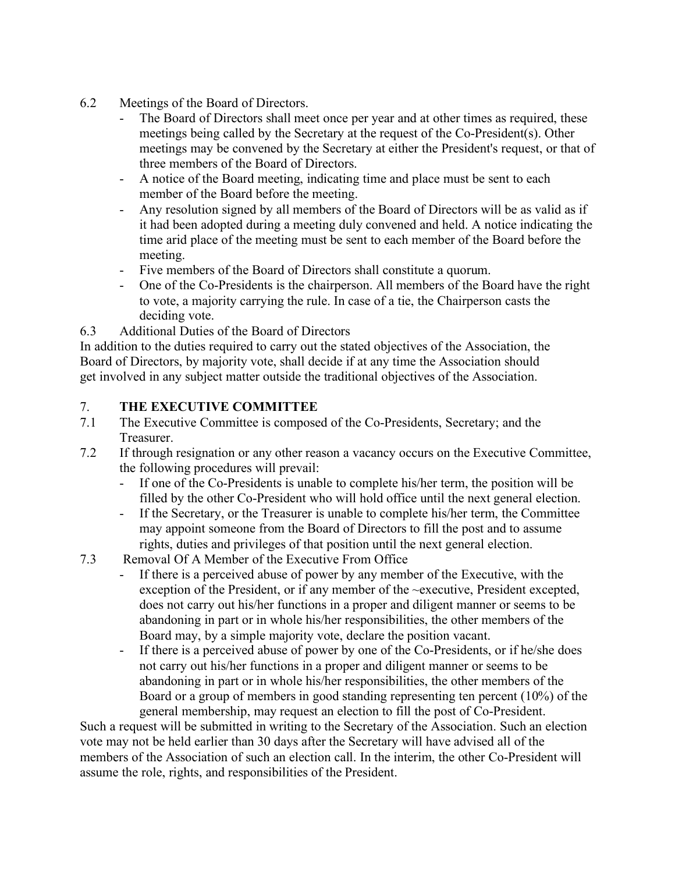- 6.2 Meetings of the Board of Directors.
	- The Board of Directors shall meet once per year and at other times as required, these meetings being called by the Secretary at the request of the Co-President(s). Other meetings may be convened by the Secretary at either the President's request, or that of three members of the Board of Directors.
	- A notice of the Board meeting, indicating time and place must be sent to each member of the Board before the meeting.
	- Any resolution signed by all members of the Board of Directors will be as valid as if it had been adopted during a meeting duly convened and held. A notice indicating the time arid place of the meeting must be sent to each member of the Board before the meeting.
	- Five members of the Board of Directors shall constitute a quorum.
	- One of the Co-Presidents is the chairperson. All members of the Board have the right to vote, a majority carrying the rule. In case of a tie, the Chairperson casts the deciding vote.
- 6.3 Additional Duties of the Board of Directors

In addition to the duties required to carry out the stated objectives of the Association, the Board of Directors, by majority vote, shall decide if at any time the Association should get involved in any subject matter outside the traditional objectives of the Association.

# 7. **THE EXECUTIVE COMMITTEE**

- 7.1 The Executive Committee is composed of the Co-Presidents, Secretary; and the Treasurer.
- 7.2 If through resignation or any other reason a vacancy occurs on the Executive Committee, the following procedures will prevail:
	- If one of the Co-Presidents is unable to complete his/her term, the position will be filled by the other Co-President who will hold office until the next general election.
	- If the Secretary, or the Treasurer is unable to complete his/her term, the Committee may appoint someone from the Board of Directors to fill the post and to assume rights, duties and privileges of that position until the next general election.
- 7.3 Removal Of A Member of the Executive From Office
	- If there is a perceived abuse of power by any member of the Executive, with the exception of the President, or if any member of the ~executive, President excepted, does not carry out his/her functions in a proper and diligent manner or seems to be abandoning in part or in whole his/her responsibilities, the other members of the Board may, by a simple majority vote, declare the position vacant.
	- If there is a perceived abuse of power by one of the Co-Presidents, or if he/she does not carry out his/her functions in a proper and diligent manner or seems to be abandoning in part or in whole his/her responsibilities, the other members of the Board or a group of members in good standing representing ten percent (10%) of the general membership, may request an election to fill the post of Co-President.

Such a request will be submitted in writing to the Secretary of the Association. Such an election vote may not be held earlier than 30 days after the Secretary will have advised all of the members of the Association of such an election call. In the interim, the other Co-President will assume the role, rights, and responsibilities of the President.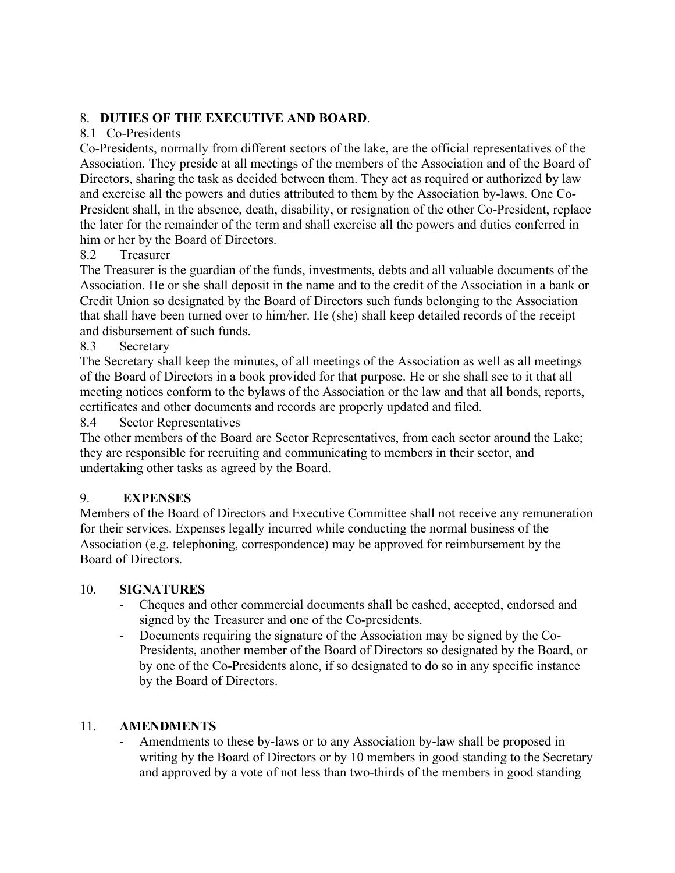### 8. **DUTIES OF THE EXECUTIVE AND BOARD**.

#### 8.1 Co-Presidents

Co-Presidents, normally from different sectors of the lake, are the official representatives of the Association. They preside at all meetings of the members of the Association and of the Board of Directors, sharing the task as decided between them. They act as required or authorized by law and exercise all the powers and duties attributed to them by the Association by-laws. One Co-President shall, in the absence, death, disability, or resignation of the other Co-President, replace the later for the remainder of the term and shall exercise all the powers and duties conferred in him or her by the Board of Directors.

# 8.2 Treasurer

The Treasurer is the guardian of the funds, investments, debts and all valuable documents of the Association. He or she shall deposit in the name and to the credit of the Association in a bank or Credit Union so designated by the Board of Directors such funds belonging to the Association that shall have been turned over to him/her. He (she) shall keep detailed records of the receipt and disbursement of such funds.

#### 8.3 Secretary

The Secretary shall keep the minutes, of all meetings of the Association as well as all meetings of the Board of Directors in a book provided for that purpose. He or she shall see to it that all meeting notices conform to the bylaws of the Association or the law and that all bonds, reports, certificates and other documents and records are properly updated and filed.

#### 8.4 Sector Representatives

The other members of the Board are Sector Representatives, from each sector around the Lake; they are responsible for recruiting and communicating to members in their sector, and undertaking other tasks as agreed by the Board.

#### 9. **EXPENSES**

Members of the Board of Directors and Executive Committee shall not receive any remuneration for their services. Expenses legally incurred while conducting the normal business of the Association (e.g. telephoning, correspondence) may be approved for reimbursement by the Board of Directors.

#### 10. **SIGNATURES**

- Cheques and other commercial documents shall be cashed, accepted, endorsed and signed by the Treasurer and one of the Co-presidents.
- Documents requiring the signature of the Association may be signed by the Co-Presidents, another member of the Board of Directors so designated by the Board, or by one of the Co-Presidents alone, if so designated to do so in any specific instance by the Board of Directors.

#### 11. **AMENDMENTS**

Amendments to these by-laws or to any Association by-law shall be proposed in writing by the Board of Directors or by 10 members in good standing to the Secretary and approved by a vote of not less than two-thirds of the members in good standing